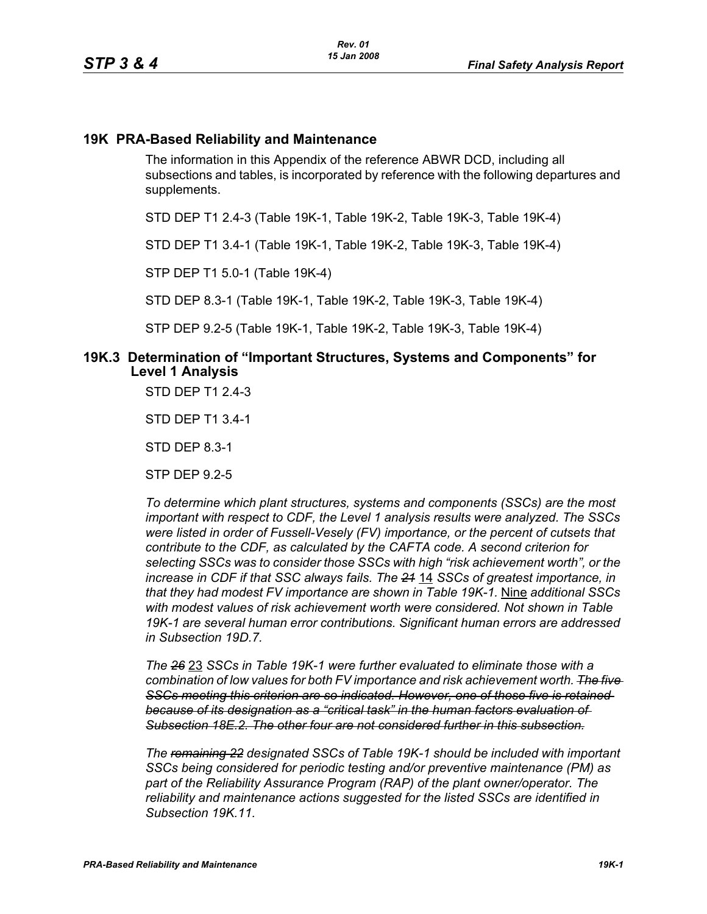## **19K PRA-Based Reliability and Maintenance**

The information in this Appendix of the reference ABWR DCD, including all subsections and tables, is incorporated by reference with the following departures and supplements.

STD DEP T1 2.4-3 (Table 19K-1, Table 19K-2, Table 19K-3, Table 19K-4)

STD DEP T1 3.4-1 (Table 19K-1, Table 19K-2, Table 19K-3, Table 19K-4)

STP DEP T1 5.0-1 (Table 19K-4)

STD DEP 8.3-1 (Table 19K-1, Table 19K-2, Table 19K-3, Table 19K-4)

STP DEP 9.2-5 (Table 19K-1, Table 19K-2, Table 19K-3, Table 19K-4)

#### **19K.3 Determination of "Important Structures, Systems and Components" for Level 1 Analysis**

STD DEP T1 2.4-3

STD DEP T1 3.4-1

STD DEP 8.3-1

STP DEP 9.2-5

*To determine which plant structures, systems and components (SSCs) are the most important with respect to CDF, the Level 1 analysis results were analyzed. The SSCs were listed in order of Fussell-Vesely (FV) importance, or the percent of cutsets that contribute to the CDF, as calculated by the CAFTA code. A second criterion for selecting SSCs was to consider those SSCs with high "risk achievement worth", or the increase in CDF if that SSC always fails. The 21* 14 *SSCs of greatest importance, in that they had modest FV importance are shown in Table 19K-1.* Nine *additional SSCs with modest values of risk achievement worth were considered. Not shown in Table 19K-1 are several human error contributions. Significant human errors are addressed in Subsection 19D.7.*

*The 26* 23 *SSCs in Table 19K-1 were further evaluated to eliminate those with a combination of low values for both FV importance and risk achievement worth. The five SSCs meeting this criterion are so indicated. However, one of those five is retained because of its designation as a "critical task" in the human factors evaluation of Subsection 18E.2. The other four are not considered further in this subsection.*

*The remaining 22 designated SSCs of Table 19K-1 should be included with important SSCs being considered for periodic testing and/or preventive maintenance (PM) as part of the Reliability Assurance Program (RAP) of the plant owner/operator. The reliability and maintenance actions suggested for the listed SSCs are identified in Subsection 19K.11.*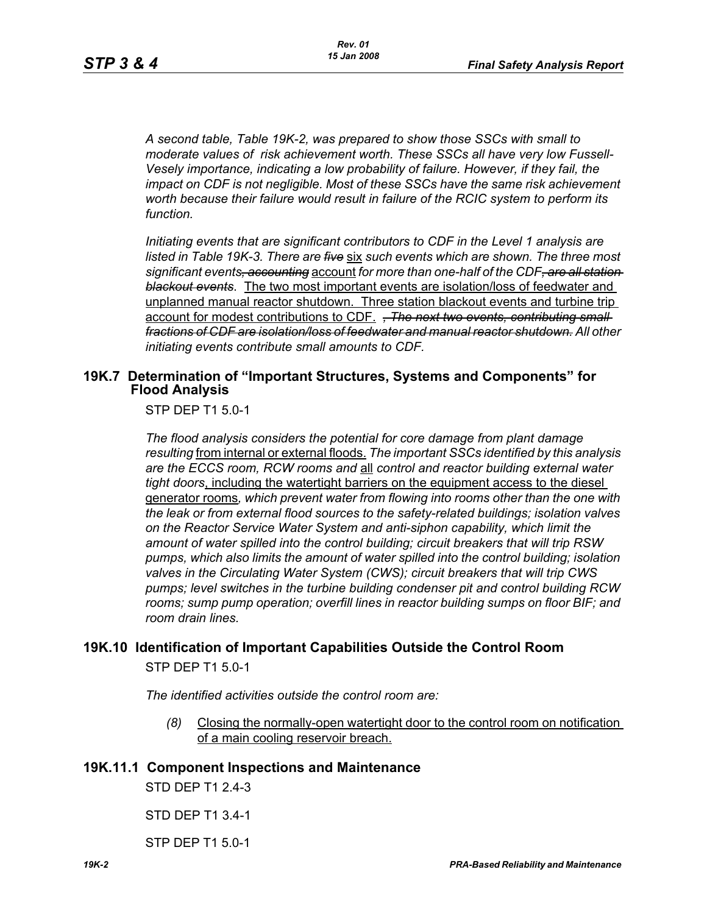*A second table, Table 19K-2, was prepared to show those SSCs with small to moderate values of risk achievement worth. These SSCs all have very low Fussell-Vesely importance, indicating a low probability of failure. However, if they fail, the impact on CDF is not negligible. Most of these SSCs have the same risk achievement worth because their failure would result in failure of the RCIC system to perform its function.*

*Initiating events that are significant contributors to CDF in the Level 1 analysis are listed in Table 19K-3. There are five* six *such events which are shown. The three most significant events, accounting* account *for more than one-half of the CDF, are all station blackout events*. The two most important events are isolation/loss of feedwater and unplanned manual reactor shutdown. Three station blackout events and turbine trip account for modest contributions to CDF. *, The next two events, contributing small fractions of CDF are isolation/loss of feedwater and manual reactor shutdown. All other initiating events contribute small amounts to CDF.*

## **19K.7 Determination of "Important Structures, Systems and Components" for Flood Analysis**

STP DEP T1 5.0-1

*The flood analysis considers the potential for core damage from plant damage resulting* from internal or external floods. *The important SSCs identified by this analysis are the ECCS room, RCW rooms and* all *control and reactor building external water tight doors*, including the watertight barriers on the equipment access to the diesel generator rooms*, which prevent water from flowing into rooms other than the one with the leak or from external flood sources to the safety-related buildings; isolation valves on the Reactor Service Water System and anti-siphon capability, which limit the amount of water spilled into the control building; circuit breakers that will trip RSW pumps, which also limits the amount of water spilled into the control building; isolation valves in the Circulating Water System (CWS); circuit breakers that will trip CWS pumps; level switches in the turbine building condenser pit and control building RCW rooms; sump pump operation; overfill lines in reactor building sumps on floor BIF; and room drain lines.*

# **19K.10 Identification of Important Capabilities Outside the Control Room**

STP DEP T1 5.0-1

*The identified activities outside the control room are:*

*(8)* Closing the normally-open watertight door to the control room on notification of a main cooling reservoir breach.

## **19K.11.1 Component Inspections and Maintenance**

STD DEP T1 2.4-3

STD DEP T1 3.4-1

STP DEP T1 5.0-1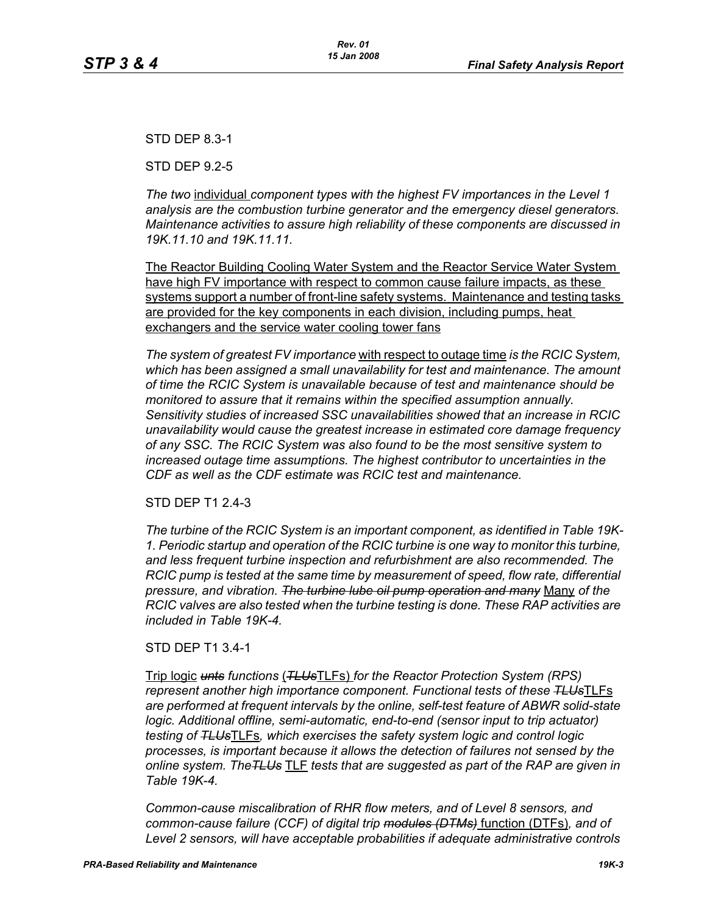STD DEP 8.3-1

STD DEP 9.2-5

*The two* individual *component types with the highest FV importances in the Level 1 analysis are the combustion turbine generator and the emergency diesel generators. Maintenance activities to assure high reliability of these components are discussed in 19K.11.10 and 19K.11.11.*

The Reactor Building Cooling Water System and the Reactor Service Water System have high FV importance with respect to common cause failure impacts, as these systems support a number of front-line safety systems. Maintenance and testing tasks are provided for the key components in each division, including pumps, heat exchangers and the service water cooling tower fans

*The system of greatest FV importance* with respect to outage time *is the RCIC System, which has been assigned a small unavailability for test and maintenance. The amount of time the RCIC System is unavailable because of test and maintenance should be monitored to assure that it remains within the specified assumption annually. Sensitivity studies of increased SSC unavailabilities showed that an increase in RCIC unavailability would cause the greatest increase in estimated core damage frequency of any SSC. The RCIC System was also found to be the most sensitive system to increased outage time assumptions. The highest contributor to uncertainties in the CDF as well as the CDF estimate was RCIC test and maintenance.*

## STD DEP T1 2.4-3

*The turbine of the RCIC System is an important component, as identified in Table 19K-1. Periodic startup and operation of the RCIC turbine is one way to monitor this turbine, and less frequent turbine inspection and refurbishment are also recommended. The RCIC pump is tested at the same time by measurement of speed, flow rate, differential pressure, and vibration. The turbine lube oil pump operation and many* Many *of the RCIC valves are also tested when the turbine testing is done. These RAP activities are included in Table 19K-4.*

#### STD DEP T1 3.4-1

Trip logic *unts functions* (*TLUs*TLFs) *for the Reactor Protection System (RPS) represent another high importance component. Functional tests of these TLUs*TLFs *are performed at frequent intervals by the online, self-test feature of ABWR solid-state logic. Additional offline, semi-automatic, end-to-end (sensor input to trip actuator) testing of TLUs*TLFs*, which exercises the safety system logic and control logic processes, is important because it allows the detection of failures not sensed by the online system. TheTLUs* TLF *tests that are suggested as part of the RAP are given in Table 19K-4.* 

*Common-cause miscalibration of RHR flow meters, and of Level 8 sensors, and common-cause failure (CCF) of digital trip modules (DTMs)* function (DTFs)*, and of Level 2 sensors, will have acceptable probabilities if adequate administrative controls*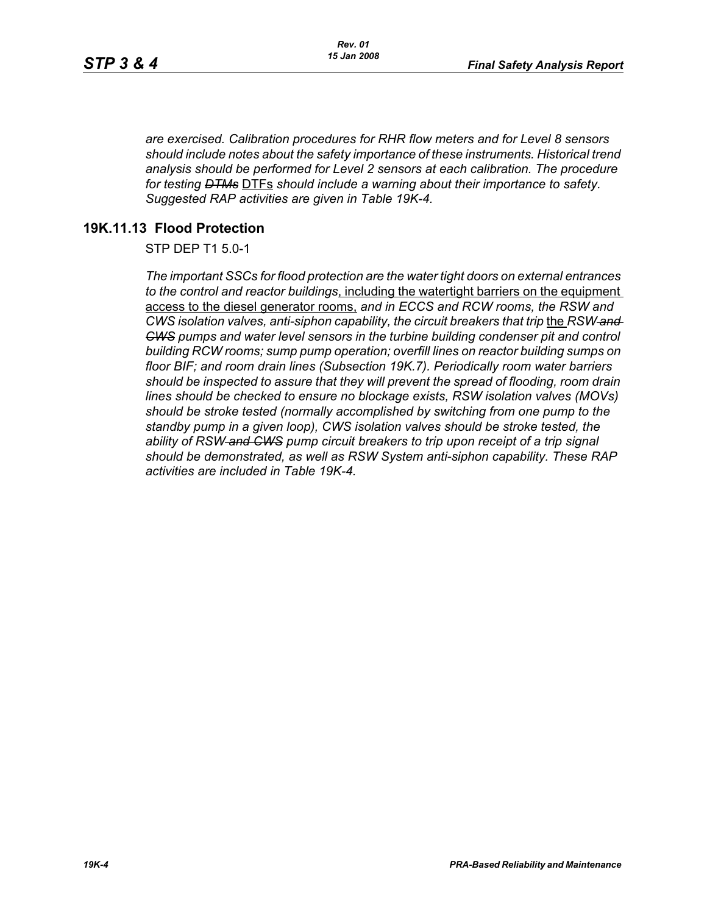*are exercised. Calibration procedures for RHR flow meters and for Level 8 sensors should include notes about the safety importance of these instruments. Historical trend analysis should be performed for Level 2 sensors at each calibration. The procedure for testing DTMs* DTFs *should include a warning about their importance to safety. Suggested RAP activities are given in Table 19K-4.*

## **19K.11.13 Flood Protection**

STP DEP T1 5.0-1

*The important SSCs for flood protection are the water tight doors on external entrances to the control and reactor buildings*, including the watertight barriers on the equipment access to the diesel generator rooms, *and in ECCS and RCW rooms, the RSW and CWS isolation valves, anti-siphon capability, the circuit breakers that trip* the *RSW and CWS pumps and water level sensors in the turbine building condenser pit and control building RCW rooms; sump pump operation; overfill lines on reactor building sumps on floor BIF; and room drain lines (Subsection 19K.7). Periodically room water barriers should be inspected to assure that they will prevent the spread of flooding, room drain lines should be checked to ensure no blockage exists, RSW isolation valves (MOVs) should be stroke tested (normally accomplished by switching from one pump to the standby pump in a given loop), CWS isolation valves should be stroke tested, the ability of RSW and CWS pump circuit breakers to trip upon receipt of a trip signal should be demonstrated, as well as RSW System anti-siphon capability. These RAP activities are included in Table 19K-4.*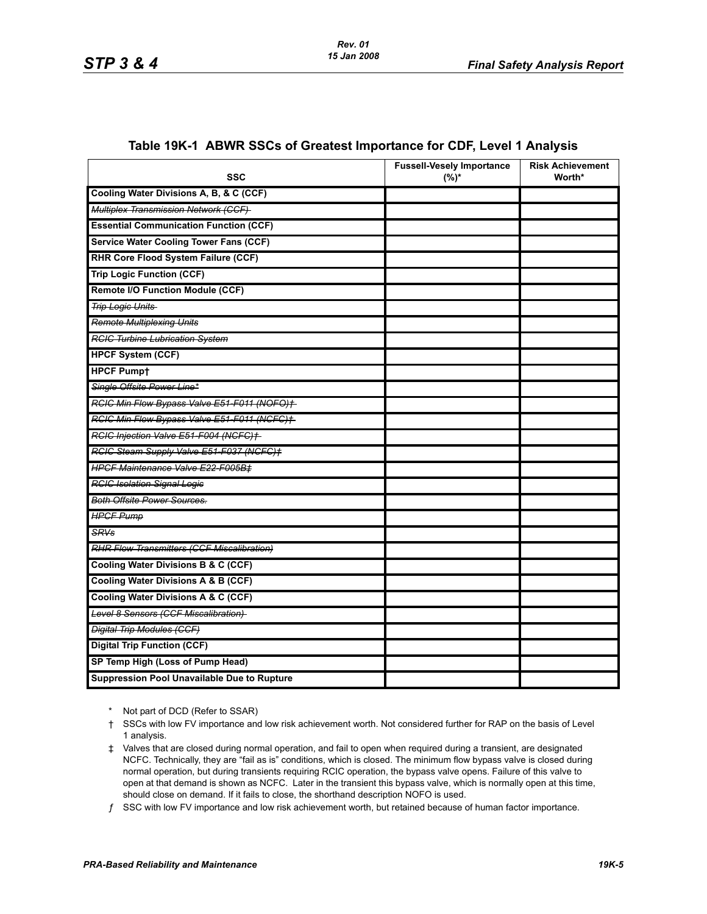| <b>SSC</b>                                        | <b>Fussell-Vesely Importance</b><br>$(%)^*$ | <b>Risk Achievement</b><br>Worth* |
|---------------------------------------------------|---------------------------------------------|-----------------------------------|
| Cooling Water Divisions A, B, & C (CCF)           |                                             |                                   |
| <b>Multiplex Transmission Network (CCF)</b>       |                                             |                                   |
| <b>Essential Communication Function (CCF)</b>     |                                             |                                   |
| <b>Service Water Cooling Tower Fans (CCF)</b>     |                                             |                                   |
| RHR Core Flood System Failure (CCF)               |                                             |                                   |
| <b>Trip Logic Function (CCF)</b>                  |                                             |                                   |
| <b>Remote I/O Function Module (CCF)</b>           |                                             |                                   |
| <b>Trip Logic Units</b>                           |                                             |                                   |
| <b>Remote Multiplexing Units</b>                  |                                             |                                   |
| <b>RCIC Turbine Lubrication System</b>            |                                             |                                   |
| <b>HPCF System (CCF)</b>                          |                                             |                                   |
| <b>HPCF Pumpt</b>                                 |                                             |                                   |
| Single Offsite Power Line*                        |                                             |                                   |
| RCIC Min Flow Bypass Valve E51-F011 (NOFO)+       |                                             |                                   |
| RCIC Min Flow Bypass Valve E51-F011 (NCFC)+       |                                             |                                   |
| RCIC Injection Valve E51-F004 (NCFC)+             |                                             |                                   |
| RGIG Steam Supply Valve E51-F037 (NGFG)+          |                                             |                                   |
| <b>HPCF Maintenance Valve E22-F005B‡</b>          |                                             |                                   |
| <b>RCIC Isolation Signal Logic</b>                |                                             |                                   |
| <b>Both Offsite Power Sources.</b>                |                                             |                                   |
| <b>HPCF Pump</b>                                  |                                             |                                   |
| <b>SRVs</b>                                       |                                             |                                   |
| <b>RHR Flow Transmitters (CCF Miscalibration)</b> |                                             |                                   |
| <b>Cooling Water Divisions B &amp; C (CCF)</b>    |                                             |                                   |
| <b>Cooling Water Divisions A &amp; B (CCF)</b>    |                                             |                                   |
| <b>Cooling Water Divisions A &amp; C (CCF)</b>    |                                             |                                   |
| Level 8 Sensors (CCF Miscalibration)              |                                             |                                   |
| <b>Digital Trip Modules (CCF)</b>                 |                                             |                                   |
| <b>Digital Trip Function (CCF)</b>                |                                             |                                   |
| SP Temp High (Loss of Pump Head)                  |                                             |                                   |
| Suppression Pool Unavailable Due to Rupture       |                                             |                                   |

#### **Table 19K-1 ABWR SSCs of Greatest Importance for CDF, Level 1 Analysis**

\* Not part of DCD (Refer to SSAR)

<sup>†</sup> SSCs with low FV importance and low risk achievement worth. Not considered further for RAP on the basis of Level 1 analysis.

<sup>‡</sup> Valves that are closed during normal operation, and fail to open when required during a transient, are designated NCFC. Technically, they are "fail as is" conditions, which is closed. The minimum flow bypass valve is closed during normal operation, but during transients requiring RCIC operation, the bypass valve opens. Failure of this valve to open at that demand is shown as NCFC. Later in the transient this bypass valve, which is normally open at this time, should close on demand. If it fails to close, the shorthand description NOFO is used.

 $f$  SSC with low FV importance and low risk achievement worth, but retained because of human factor importance.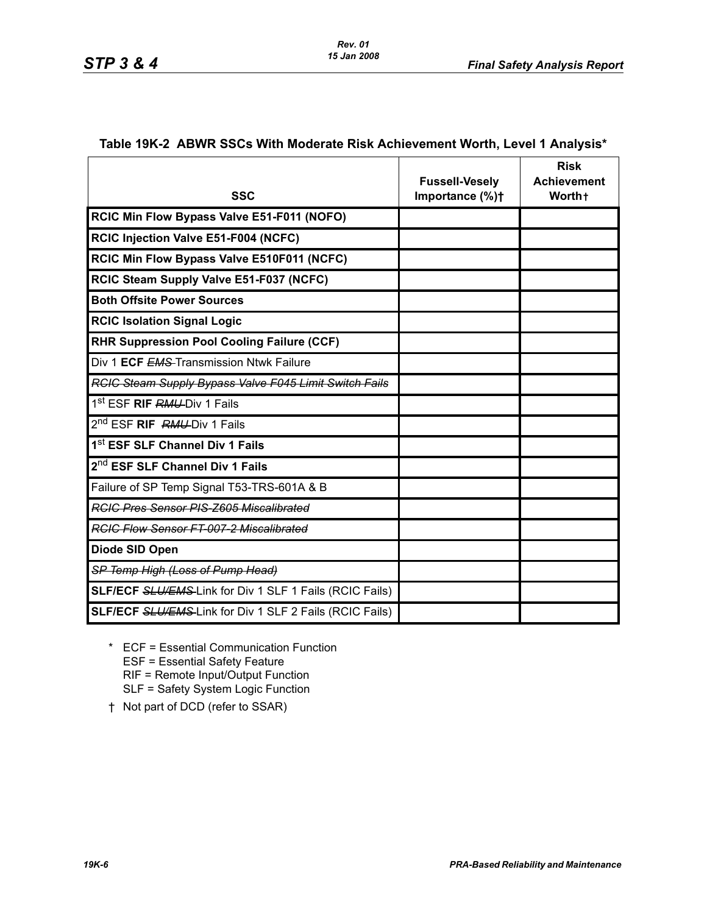Г

Т

| Table 19K-2 ABWR SSCs With Moderate Risk Achievement Worth, Level 1 Analysis* |  |
|-------------------------------------------------------------------------------|--|
|-------------------------------------------------------------------------------|--|

T

|                                                                | <b>Fussell-Vesely</b> | <b>Risk</b><br><b>Achievement</b> |
|----------------------------------------------------------------|-----------------------|-----------------------------------|
| <b>SSC</b>                                                     | Importance (%)+       | Worth+                            |
| RCIC Min Flow Bypass Valve E51-F011 (NOFO)                     |                       |                                   |
| RCIC Injection Valve E51-F004 (NCFC)                           |                       |                                   |
| RCIC Min Flow Bypass Valve E510F011 (NCFC)                     |                       |                                   |
| RCIC Steam Supply Valve E51-F037 (NCFC)                        |                       |                                   |
| <b>Both Offsite Power Sources</b>                              |                       |                                   |
| <b>RCIC Isolation Signal Logic</b>                             |                       |                                   |
| <b>RHR Suppression Pool Cooling Failure (CCF)</b>              |                       |                                   |
| Div 1 ECF EMS Transmission Ntwk Failure                        |                       |                                   |
| <b>RCIC Steam Supply Bypass Valve F045 Limit Switch Fails</b>  |                       |                                   |
| 1 <sup>st</sup> ESF <b>RIF RMU-</b> Div 1 Fails                |                       |                                   |
| 2 <sup>nd</sup> ESF <b>RIF</b> RMU-Div 1 Fails                 |                       |                                   |
| 1 <sup>st</sup> ESF SLF Channel Div 1 Fails                    |                       |                                   |
| 2 <sup>nd</sup> ESF SLF Channel Div 1 Fails                    |                       |                                   |
| Failure of SP Temp Signal T53-TRS-601A & B                     |                       |                                   |
| <b>RGIG Pres Sensor PIS-Z605 Miscalibrated</b>                 |                       |                                   |
| <b>RGIC Flow Sensor FT-007-2 Miscalibrated</b>                 |                       |                                   |
| Diode SID Open                                                 |                       |                                   |
| SP Temp High (Loss of Pump Head)                               |                       |                                   |
| <b>SLF/ECF SLU/EMS-Link for Div 1 SLF 1 Fails (RCIC Fails)</b> |                       |                                   |
| <b>SLF/ECF SLU/EMS-Link for Div 1 SLF 2 Fails (RCIC Fails)</b> |                       |                                   |

- \* ECF = Essential Communication Function ESF = Essential Safety Feature RIF = Remote Input/Output Function SLF = Safety System Logic Function
- † Not part of DCD (refer to SSAR)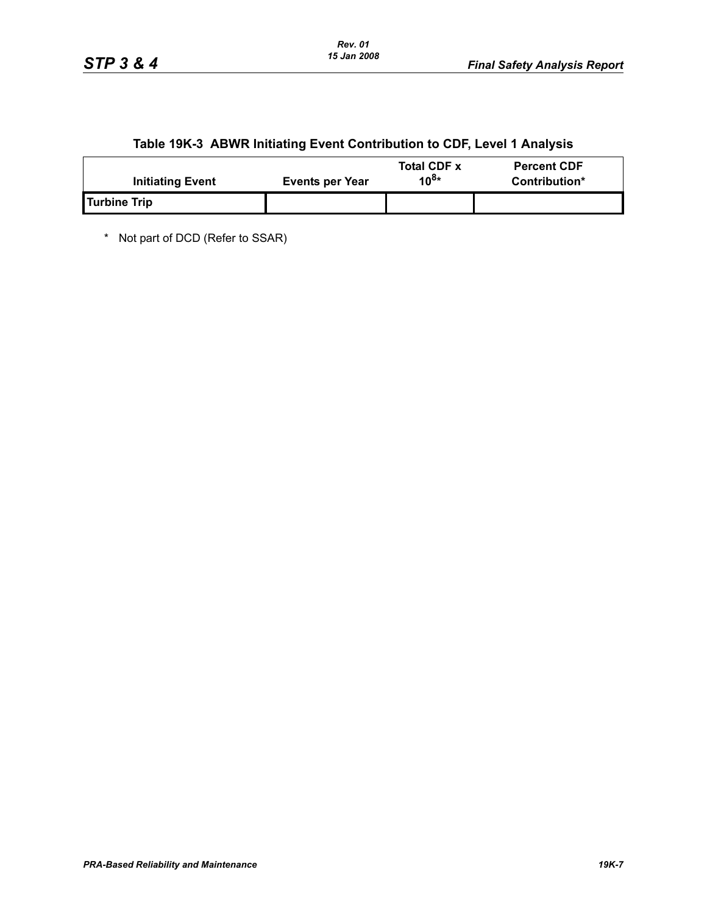# **Table 19K-3 ABWR Initiating Event Contribution to CDF, Level 1 Analysis**

| <b>Initiating Event</b> | <b>Events per Year</b> | <b>Total CDF x</b><br>10 $8*$ | <b>Percent CDF</b><br>Contribution* |
|-------------------------|------------------------|-------------------------------|-------------------------------------|
| Turbine Trip            |                        |                               |                                     |

\* Not part of DCD (Refer to SSAR)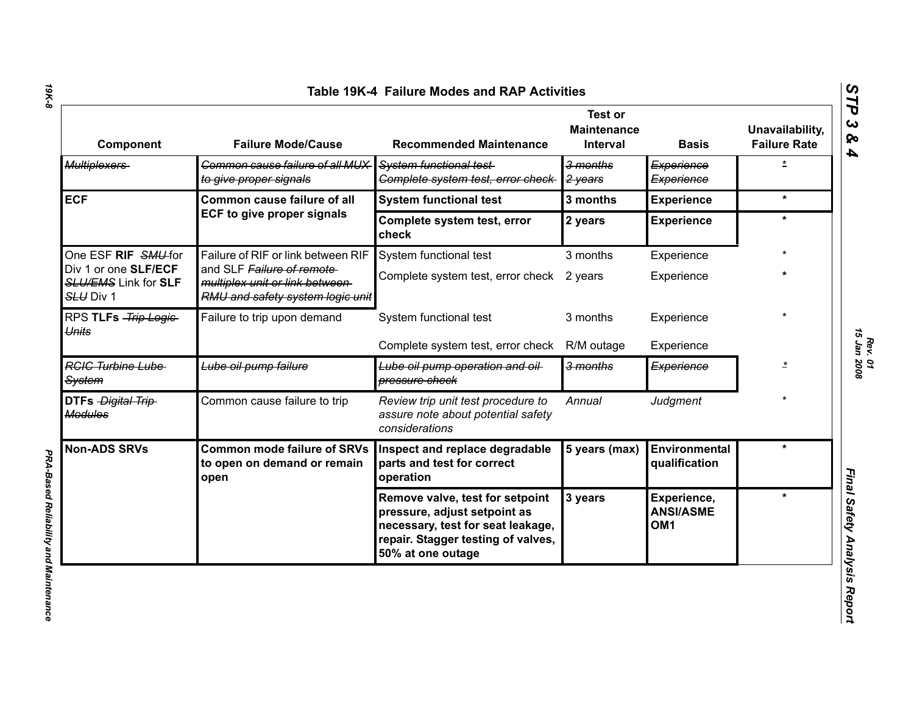| Component                                                        | <b>Failure Mode/Cause</b>                                                                       | <b>Recommended Maintenance</b>                                                                                                                                  | <b>Test or</b><br><b>Maintenance</b><br><b>Interval</b> | <b>Basis</b>                                       | Unavailability,<br><b>Failure Rate</b> |
|------------------------------------------------------------------|-------------------------------------------------------------------------------------------------|-----------------------------------------------------------------------------------------------------------------------------------------------------------------|---------------------------------------------------------|----------------------------------------------------|----------------------------------------|
| <b>Multiplexers</b>                                              | Common cause failure of all MUX<br>to give proper signals                                       | System functional test-<br>Complete system test, error check                                                                                                    | 3 months<br>2 years                                     | Experience<br>Experience                           | $\overline{\mathbf{r}}$                |
| <b>ECF</b>                                                       | Common cause failure of all                                                                     | <b>System functional test</b>                                                                                                                                   | 3 months                                                | <b>Experience</b>                                  | $\star$                                |
|                                                                  | <b>ECF to give proper signals</b>                                                               | Complete system test, error<br>check                                                                                                                            | 2 years                                                 | <b>Experience</b>                                  | $\star$                                |
| One ESF RIF SMU-for                                              | Failure of RIF or link between RIF                                                              | System functional test                                                                                                                                          | 3 months                                                | Experience                                         |                                        |
| Div 1 or one SLF/ECF<br><b>SLU/EMS Link for SLF</b><br>SLU Div 1 | and SLF Failure of remote<br>multiplex unit or link between<br>RMU and safety system logic unit | Complete system test, error check 2 years                                                                                                                       |                                                         | Experience                                         |                                        |
| RPS TLFs - Trip Logic-<br>Units                                  | Failure to trip upon demand                                                                     | System functional test                                                                                                                                          | 3 months                                                | Experience                                         |                                        |
|                                                                  |                                                                                                 | Complete system test, error check                                                                                                                               | R/M outage                                              | Experience                                         |                                        |
| <b>RGIG Turbine Lube</b><br><b>System</b>                        | Lube oil pump failure                                                                           | Lube oil pump operation and oil-<br>pressure check                                                                                                              | 3 months                                                | Experience                                         | $\star$                                |
| DTFs Digital Trip<br><b>Modules</b>                              | Common cause failure to trip                                                                    | Review trip unit test procedure to<br>assure note about potential safety<br>considerations                                                                      | Annual                                                  | Judgment                                           |                                        |
| <b>Non-ADS SRVs</b>                                              | <b>Common mode failure of SRVs</b><br>to open on demand or remain<br>open                       | Inspect and replace degradable<br>parts and test for correct<br>operation                                                                                       | 5 years (max)                                           | Environmental<br>qualification                     | ÷                                      |
|                                                                  |                                                                                                 | Remove valve, test for setpoint<br>pressure, adjust setpoint as<br>necessary, test for seat leakage,<br>repair. Stagger testing of valves,<br>50% at one outage | 3 years                                                 | Experience,<br><b>ANSI/ASME</b><br>OM <sub>1</sub> | $\star$                                |

*19K-8*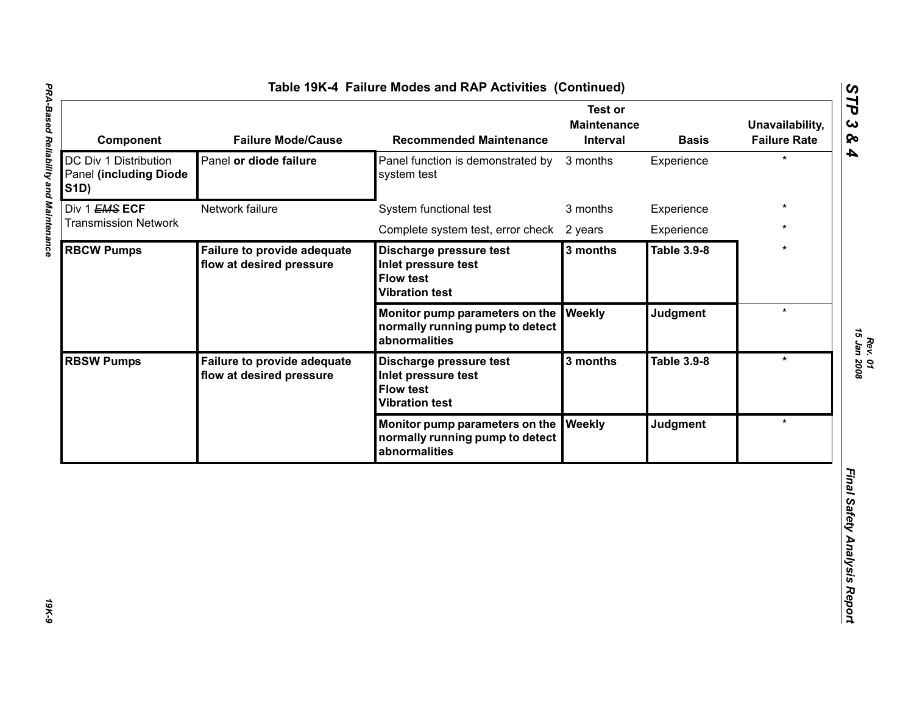| DC Div 1 Distribution<br><b>Panel (including Diode)</b><br><b>S1D)</b><br>Div 1 EMS ECF<br>Network failure<br><b>Transmission Network</b> | Panel or diode failure                                  | Panel function is demonstrated by<br>system test                                            | 3 months      | Experience         |         |
|-------------------------------------------------------------------------------------------------------------------------------------------|---------------------------------------------------------|---------------------------------------------------------------------------------------------|---------------|--------------------|---------|
|                                                                                                                                           |                                                         |                                                                                             |               |                    |         |
|                                                                                                                                           |                                                         | System functional test                                                                      | 3 months      | Experience         |         |
|                                                                                                                                           |                                                         | Complete system test, error check 2 years                                                   |               | Experience         |         |
| <b>RBCW Pumps</b>                                                                                                                         | Failure to provide adequate<br>flow at desired pressure | Discharge pressure test<br>Inlet pressure test<br><b>Flow test</b><br><b>Vibration test</b> | 3 months      | <b>Table 3.9-8</b> | ÷       |
|                                                                                                                                           |                                                         | Monitor pump parameters on the<br>normally running pump to detect<br>abnormalities          | Weekly        | <b>Judgment</b>    | $\star$ |
| <b>RBSW Pumps</b>                                                                                                                         | Failure to provide adequate<br>flow at desired pressure | Discharge pressure test<br>Inlet pressure test<br><b>Flow test</b><br><b>Vibration test</b> | 3 months      | <b>Table 3.9-8</b> | $\star$ |
|                                                                                                                                           |                                                         | Monitor pump parameters on the<br>normally running pump to detect<br>abnormalities          | <b>Weekly</b> | <b>Judgment</b>    | $\star$ |

*Rev. 01*<br>15 Jan 2008 *15 Jan 2008*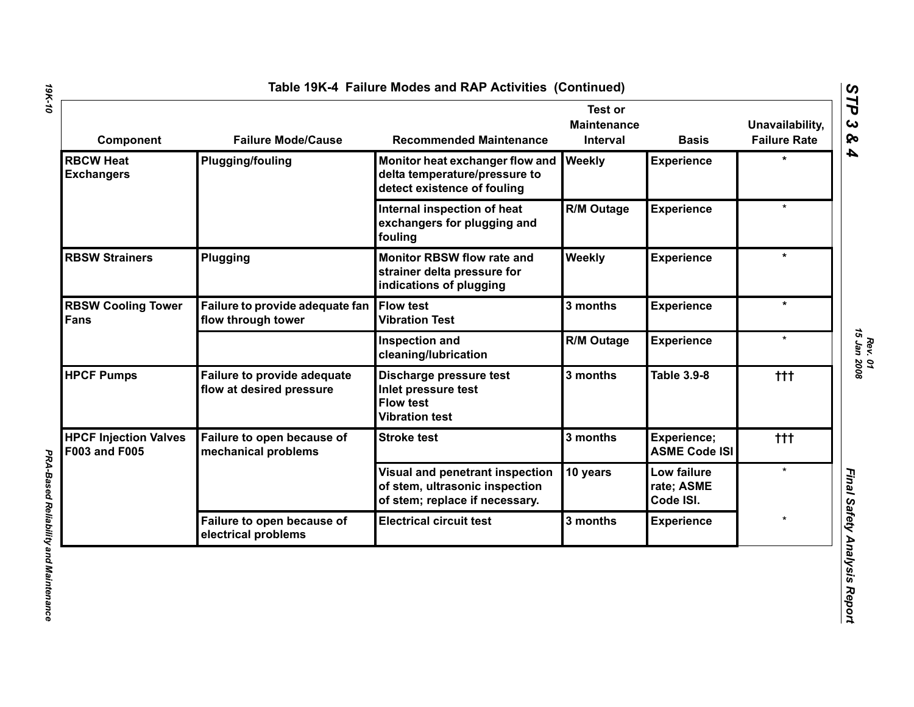| Component                                            | <b>Failure Mode/Cause</b>                                       | <b>Recommended Maintenance</b>                                                                      | <b>Test or</b><br><b>Maintenance</b><br><b>Interval</b> | <b>Basis</b>                           | Unavailability,<br><b>Failure Rate</b> |
|------------------------------------------------------|-----------------------------------------------------------------|-----------------------------------------------------------------------------------------------------|---------------------------------------------------------|----------------------------------------|----------------------------------------|
| <b>RBCW Heat</b><br><b>Exchangers</b>                | <b>Plugging/fouling</b>                                         | Monitor heat exchanger flow and<br>delta temperature/pressure to<br>detect existence of fouling     | Weekly                                                  | <b>Experience</b>                      | $\star$                                |
|                                                      |                                                                 | Internal inspection of heat<br>exchangers for plugging and<br>fouling                               | <b>R/M Outage</b>                                       | <b>Experience</b>                      | $\star$                                |
| <b>RBSW Strainers</b>                                | Plugging                                                        | <b>Monitor RBSW flow rate and</b><br>strainer delta pressure for<br>indications of plugging         | Weekly                                                  | <b>Experience</b>                      | $\ast$                                 |
| <b>RBSW Cooling Tower</b><br>Fans                    | Failure to provide adequate fan Flow test<br>flow through tower | <b>Vibration Test</b>                                                                               | 3 months                                                | <b>Experience</b>                      | $\star$                                |
|                                                      |                                                                 | <b>Inspection and</b><br>cleaning/lubrication                                                       | <b>R/M Outage</b>                                       | <b>Experience</b>                      | $\star$                                |
| <b>HPCF Pumps</b>                                    | <b>Failure to provide adequate</b><br>flow at desired pressure  | Discharge pressure test<br>Inlet pressure test<br><b>Flow test</b><br><b>Vibration test</b>         | 3 months                                                | <b>Table 3.9-8</b>                     | $+ + +$                                |
| <b>HPCF Injection Valves</b><br><b>F003 and F005</b> | Failure to open because of<br>mechanical problems               | <b>Stroke test</b>                                                                                  | 3 months                                                | Experience;<br><b>ASME Code ISI</b>    | ttt                                    |
|                                                      |                                                                 | Visual and penetrant inspection<br>of stem, ultrasonic inspection<br>of stem; replace if necessary. | 10 years                                                | Low failure<br>rate; ASME<br>Code ISI. | $\star$                                |
|                                                      | Failure to open because of<br>electrical problems               | <b>Electrical circuit test</b>                                                                      | 3 months                                                | <b>Experience</b>                      |                                        |

*19K-10*

*STP 3 & 4*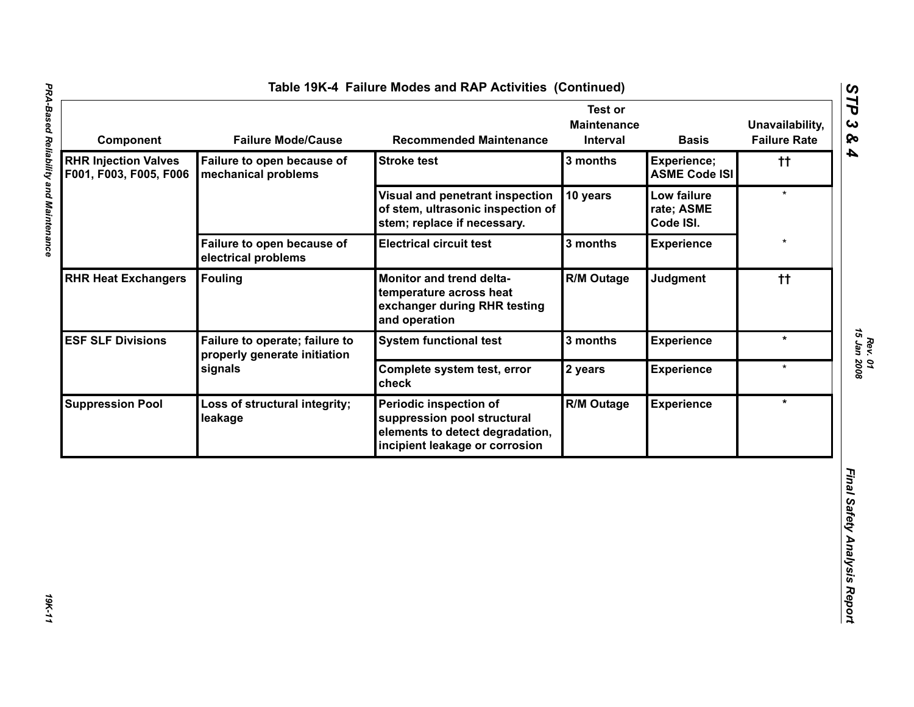| <b>RHR Injection Valves</b><br>Failure to open because of<br>3 months<br><b>Stroke test</b><br><b>Experience;</b><br><b>ASME Code ISI</b><br>F001, F003, F005, F006<br>mechanical problems<br>10 years<br>Visual and penetrant inspection<br>Low failure<br>of stem, ultrasonic inspection of<br>rate; ASME<br>stem; replace if necessary.<br>Code ISI.<br>Failure to open because of<br><b>Electrical circuit test</b><br>3 months<br><b>Experience</b><br>electrical problems<br><b>RHR Heat Exchangers</b><br><b>Fouling</b><br><b>R/M Outage</b><br>Judgment<br>Monitor and trend delta-<br>temperature across heat<br>exchanger during RHR testing<br>and operation | $^{\dagger\dagger}$<br>$\star$<br>$^{\dagger\dagger}$ |
|--------------------------------------------------------------------------------------------------------------------------------------------------------------------------------------------------------------------------------------------------------------------------------------------------------------------------------------------------------------------------------------------------------------------------------------------------------------------------------------------------------------------------------------------------------------------------------------------------------------------------------------------------------------------------|-------------------------------------------------------|
|                                                                                                                                                                                                                                                                                                                                                                                                                                                                                                                                                                                                                                                                          |                                                       |
|                                                                                                                                                                                                                                                                                                                                                                                                                                                                                                                                                                                                                                                                          |                                                       |
|                                                                                                                                                                                                                                                                                                                                                                                                                                                                                                                                                                                                                                                                          |                                                       |
|                                                                                                                                                                                                                                                                                                                                                                                                                                                                                                                                                                                                                                                                          |                                                       |
| <b>ESF SLF Divisions</b><br>Failure to operate; failure to<br>3 months<br><b>Experience</b><br><b>System functional test</b><br>properly generate initiation                                                                                                                                                                                                                                                                                                                                                                                                                                                                                                             | $\star$                                               |
| signals<br>Complete system test, error<br>2 years<br><b>Experience</b><br>check                                                                                                                                                                                                                                                                                                                                                                                                                                                                                                                                                                                          | $\star$                                               |
| <b>R/M Outage</b><br><b>Experience</b><br><b>Suppression Pool</b><br>Periodic inspection of<br>Loss of structural integrity;<br>suppression pool structural<br>leakage<br>elements to detect degradation,<br>incipient leakage or corrosion                                                                                                                                                                                                                                                                                                                                                                                                                              | $\star$                                               |

*Rev. 01*<br>15 Jan 2008 *15 Jan 2008*